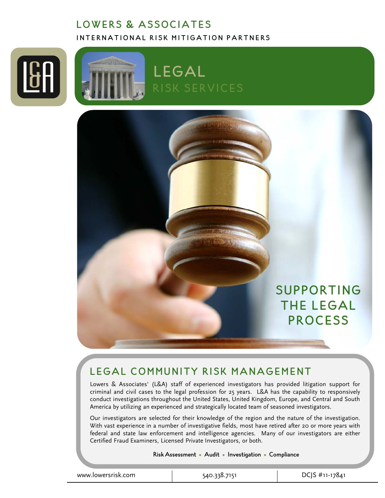# LOWERS & ASSOCIATES INTERNATIONAL RISK MITIGATION PARTNERS







# LEGAL COMMUNITY RISK MANAGEMENT

Lowers & Associates' (L&A) staff of experienced investigators has provided litigation support for criminal and civil cases to the legal profession for 25 years. L&A has the capability to responsively conduct investigations throughout the United States, United Kingdom, Europe, and Central and South America by utilizing an experienced and strategically located team of seasoned investigators.

Our investigators are selected for their knowledge of the region and the nature of the investigation. With vast experience in a number of investigative fields, most have retired after 20 or more years with federal and state law enforcement and intelligence agencies. Many of our investigators are either Certified Fraud Examiners, Licensed Private Investigators, or both.

#### Risk Assessment • Audit • Investigation • Compliance

www.lowersrisk.com 540.338.7151 DCJS #11-17841